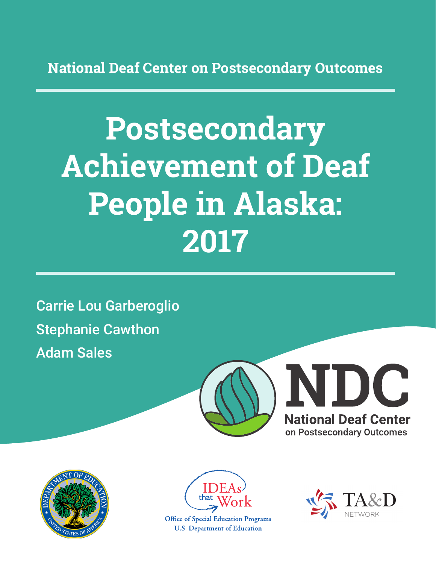**National Deaf Center on Postsecondary Outcomes**

# **Postsecondary Achievement of Deaf People in Alaska: 2017**

Carrie Lou Garberoglio Stephanie Cawthon Adam Sales







**Office of Special Education Programs U.S. Department of Education** 

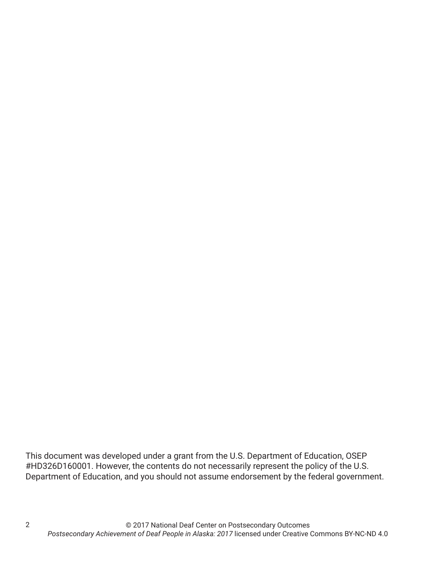This document was developed under a grant from the U.S. Department of Education, OSEP #HD326D160001. However, the contents do not necessarily represent the policy of the U.S. Department of Education, and you should not assume endorsement by the federal government.

2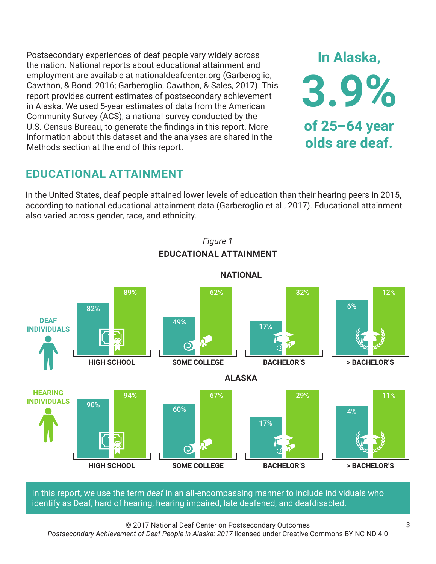Postsecondary experiences of deaf people vary widely across the nation. National reports about educational attainment and employment are available at nationaldeafcenter.org (Garberoglio, Cawthon, & Bond, 2016; Garberoglio, Cawthon, & Sales, 2017). This report provides current estimates of postsecondary achievement in Alaska. We used 5-year estimates of data from the American Community Survey (ACS), a national survey conducted by the U.S. Census Bureau, to generate the findings in this report. More information about this dataset and the analyses are shared in the Methods section at the end of this report.

# **EDUCATIONAL ATTAINMENT**

In the United States, deaf people attained lower levels of education than their hearing peers in 2015, according to national educational attainment data (Garberoglio et al., 2017). Educational attainment also varied across gender, race, and ethnicity.



In this report, we use the term *deaf* in an all-encompassing manner to include individuals who identify as Deaf, hard of hearing, hearing impaired, late deafened, and deafdisabled.

© 2017 National Deaf Center on Postsecondary Outcomes *Postsecondary Achievement of Deaf People in Alaska: 2017* licensed under Creative Commons BY-NC-ND 4.0

**In Alaska,**

**3.9%**

**of 25–64 year**

**olds are deaf.**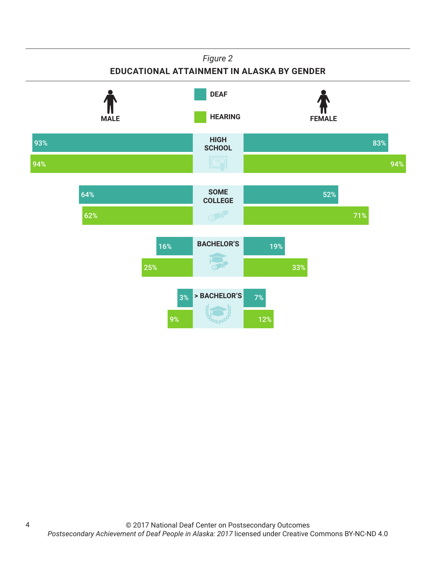## *Figure 2* **EDUCATIONAL ATTAINMENT IN ALASKA BY GENDER HIGH SCHOOL SOME COLLEGE BACHELOR'S > BACHELOR'S HEARING** FEMALE **DEAF** 93% 94% 83% 94% 64% 62% 52% 71% 16% 25% 19% 33% 3% 9% 7% 12%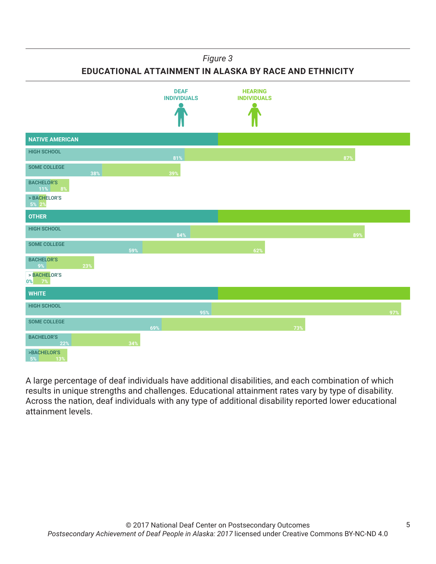### *Figure 3*

**EDUCATIONAL ATTAINMENT IN ALASKA BY RACE AND ETHNICITY**



A large percentage of deaf individuals have additional disabilities, and each combination of which results in unique strengths and challenges. Educational attainment rates vary by type of disability. Across the nation, deaf individuals with any type of additional disability reported lower educational attainment levels.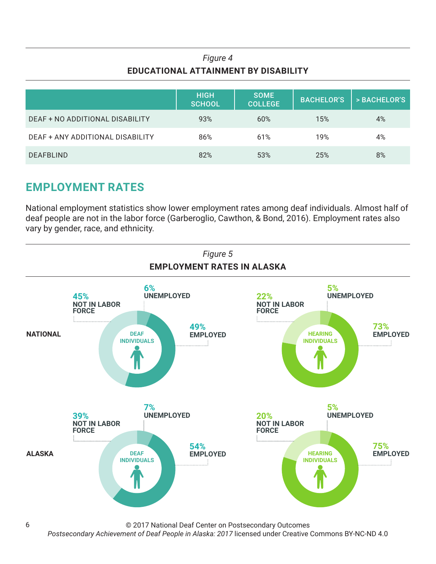## *Figure 4* **EDUCATIONAL ATTAINMENT BY DISABILITY**

|                                  | <b>HIGH</b><br><b>SCHOOL</b> | <b>SOME</b><br><b>COLLEGE</b> | <b>BACHELOR'S</b> | > BACHELOR'S |
|----------------------------------|------------------------------|-------------------------------|-------------------|--------------|
| DEAF + NO ADDITIONAL DISABILITY  | 93%                          | 60%                           | 15%               | 4%           |
| DEAF + ANY ADDITIONAL DISABILITY | 86%                          | 61%                           | 19%               | 4%           |
| <b>DEAFBLIND</b>                 | 82%                          | 53%                           | 25%               | 8%           |

# **EMPLOYMENT RATES**

National employment statistics show lower employment rates among deaf individuals. Almost half of deaf people are not in the labor force (Garberoglio, Cawthon, & Bond, 2016). Employment rates also vary by gender, race, and ethnicity.



© 2017 National Deaf Center on Postsecondary Outcomes

*Postsecondary Achievement of Deaf People in Alaska: 2017* licensed under Creative Commons BY-NC-ND 4.0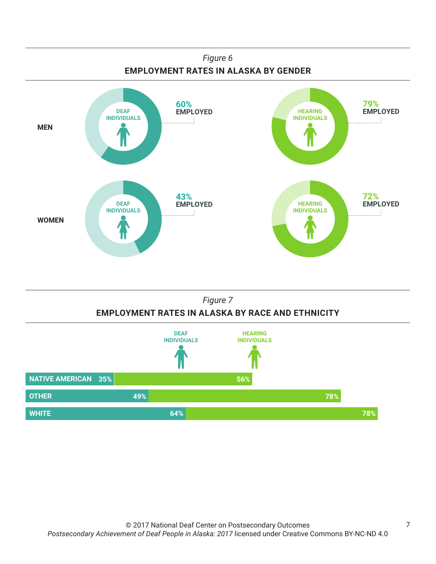



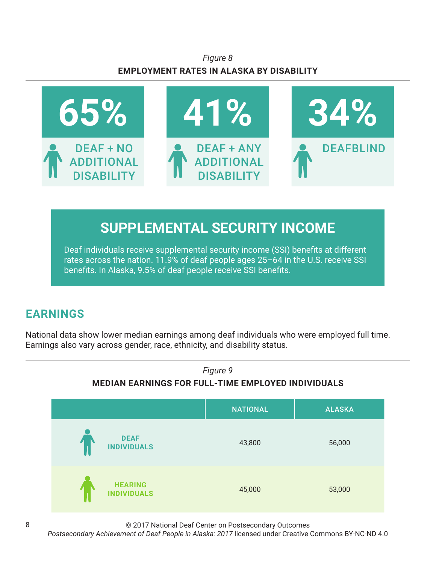## *Figure 8* **EMPLOYMENT RATES IN ALASKA BY DISABILITY**



# **SUPPLEMENTAL SECURITY INCOME**

Deaf individuals receive supplemental security income (SSI) benefits at different rates across the nation. 11.9% of deaf people ages 25–64 in the U.S. receive SSI benefits. In Alaska, 9.5% of deaf people receive SSI benefits.

# **EARNINGS**

National data show lower median earnings among deaf individuals who were employed full time. Earnings also vary across gender, race, ethnicity, and disability status.



© 2017 National Deaf Center on Postsecondary Outcomes

*Postsecondary Achievement of Deaf People in Alaska: 2017* licensed under Creative Commons BY-NC-ND 4.0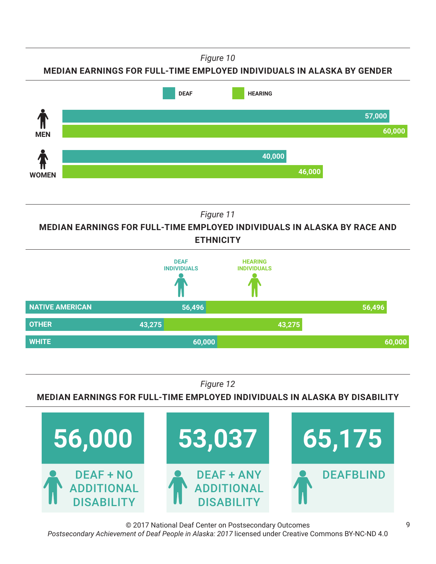*Figure 10*





*Figure 11*

**MEDIAN EARNINGS FOR FULL-TIME EMPLOYED INDIVIDUALS IN ALASKA BY RACE AND ETHNICITY**



*Figure 12*

**MEDIAN EARNINGS FOR FULL-TIME EMPLOYED INDIVIDUALS IN ALASKA BY DISABILITY**



© 2017 National Deaf Center on Postsecondary Outcomes *Postsecondary Achievement of Deaf People in Alaska: 2017* licensed under Creative Commons BY-NC-ND 4.0